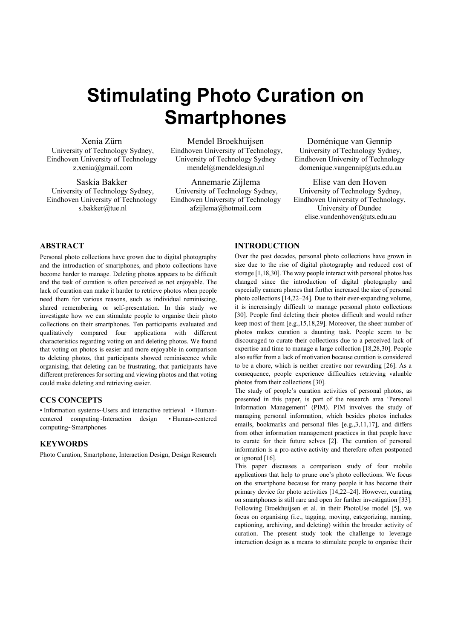# **Stimulating Photo Curation on Smartphones**

Xenia Zürn University of Technology Sydney, Eindhoven University of Technology z.xenia@gmail.com

Saskia Bakker University of Technology Sydney, Eindhoven University of Technology s.bakker@tue.nl

Mendel Broekhuijsen Eindhoven University of Technology, University of Technology Sydney mendel@mendeldesign.nl

Annemarie Zijlema University of Technology Sydney, Eindhoven University of Technology afzijlema@hotmail.com

Doménique van Gennip University of Technology Sydney, Eindhoven University of Technology domenique.vangennip@uts.edu.au

Elise van den Hoven University of Technology Sydney, Eindhoven University of Technology, University of Dundee elise.vandenhoven@uts.edu.au

# **ABSTRACT**

Personal photo collections have grown due to digital photography and the introduction of smartphones, and photo collections have become harder to manage. Deleting photos appears to be difficult and the task of curation is often perceived as not enjoyable. The lack of curation can make it harder to retrieve photos when people need them for various reasons, such as individual reminiscing, shared remembering or self-presentation. In this study we investigate how we can stimulate people to organise their photo collections on their smartphones. Ten participants evaluated and qualitatively compared four applications with different characteristics regarding voting on and deleting photos. We found that voting on photos is easier and more enjoyable in comparison to deleting photos, that participants showed reminiscence while organising, that deleting can be frustrating, that participants have different preferences for sorting and viewing photos and that voting could make deleting and retrieving easier.

#### **CCS CONCEPTS**

• Information systems~Users and interactive retrieval • Humancentered computing~Interaction design • Human-centered computing~Smartphones

# **KEYWORDS**

Photo Curation, Smartphone, Interaction Design, Design Research

# **INTRODUCTION**

Over the past decades, personal photo collections have grown in size due to the rise of digital photography and reduced cost of storage [1,18,30]. The way people interact with personal photos has changed since the introduction of digital photography and especially camera phones that further increased the size of personal photo collections [14,22–24]. Due to their ever-expanding volume, it is increasingly difficult to manage personal photo collections [30]. People find deleting their photos difficult and would rather keep most of them [e.g.,15,18,29]. Moreover, the sheer number of photos makes curation a daunting task. People seem to be discouraged to curate their collections due to a perceived lack of expertise and time to manage a large collection [18,28,30]. People also suffer from a lack of motivation because curation is considered to be a chore, which is neither creative nor rewarding [26]. As a consequence, people experience difficulties retrieving valuable photos from their collections [30].

The study of people's curation activities of personal photos, as presented in this paper, is part of the research area 'Personal Information Management' (PIM). PIM involves the study of managing personal information, which besides photos includes emails, bookmarks and personal files [e.g.,3,11,17], and differs from other information management practices in that people have to curate for their future selves [2]. The curation of personal information is a pro-active activity and therefore often postponed or ignored [16].

This paper discusses a comparison study of four mobile applications that help to prune one's photo collections. We focus on the smartphone because for many people it has become their primary device for photo activities [14,22–24]. However, curating on smartphones is still rare and open for further investigation [33]. Following Broekhuijsen et al. in their PhotoUse model [5], we focus on organising (i.e., tagging, moving, categorizing, naming, captioning, archiving, and deleting) within the broader activity of curation. The present study took the challenge to leverage interaction design as a means to stimulate people to organise their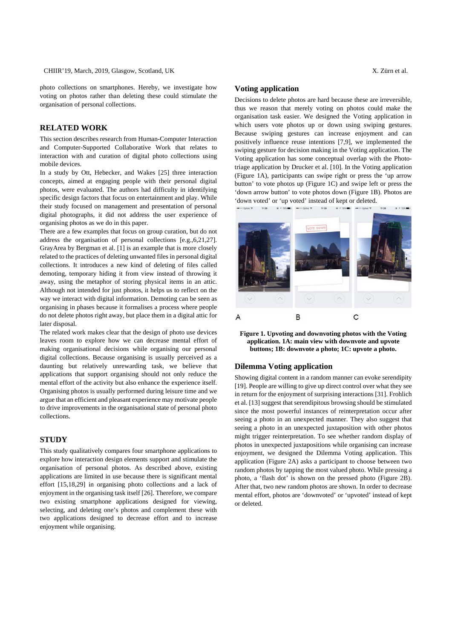photo collections on smartphones. Hereby, we investigate how voting on photos rather than deleting these could stimulate the organisation of personal collections.

#### **RELATED WORK**

This section describes research from Human-Computer Interaction and Computer-Supported Collaborative Work that relates to interaction with and curation of digital photo collections using mobile devices.

In a study by Ott, Hebecker, and Wakes [25] three interaction concepts, aimed at engaging people with their personal digital photos, were evaluated. The authors had difficulty in identifying specific design factors that focus on entertainment and play. While their study focused on management and presentation of personal digital photographs, it did not address the user experience of organising photos as we do in this paper.

There are a few examples that focus on group curation, but do not address the organisation of personal collections [e.g.,6,21,27]. GrayArea by Bergman et al. [1] is an example that is more closely related to the practices of deleting unwanted files in personal digital collections. It introduces a new kind of deleting of files called demoting, temporary hiding it from view instead of throwing it away, using the metaphor of storing physical items in an attic. Although not intended for just photos, it helps us to reflect on the way we interact with digital information. Demoting can be seen as organising in phases because it formalises a process where people do not delete photos right away, but place them in a digital attic for later disposal.

The related work makes clear that the design of photo use devices leaves room to explore how we can decrease mental effort of making organisational decisions while organising our personal digital collections. Because organising is usually perceived as a daunting but relatively unrewarding task, we believe that applications that support organising should not only reduce the mental effort of the activity but also enhance the experience itself. Organising photos is usually performed during leisure time and we argue that an efficient and pleasant experience may motivate people to drive improvements in the organisational state of personal photo collections.

## **STUDY**

This study qualitatively compares four smartphone applications to explore how interaction design elements support and stimulate the organisation of personal photos. As described above, existing applications are limited in use because there is significant mental effort [15,18,29] in organising photo collections and a lack of enjoyment in the organising task itself [26]. Therefore, we compare two existing smartphone applications designed for viewing, selecting, and deleting one's photos and complement these with two applications designed to decrease effort and to increase enjoyment while organising.

#### **Voting application**

Decisions to delete photos are hard because these are irreversible, thus we reason that merely voting on photos could make the organisation task easier. We designed the Voting application in which users vote photos up or down using swiping gestures. Because swiping gestures can increase enjoyment and can positively influence reuse intentions [7,9], we implemented the swiping gesture for decision making in the Voting application. The Voting application has some conceptual overlap with the Phototriage application by Drucker et al. [10]. In the Voting application (Figure 1A), participants can swipe right or press the 'up arrow button' to vote photos up (Figure 1C) and swipe left or press the 'down arrow button' to vote photos down (Figure 1B). Photos are 'down voted' or 'up voted' instead of kept or deleted.



**Figure 1. Upvoting and downvoting photos with the Voting application. 1A: main view with downvote and upvote buttons; 1B: downvote a photo; 1C: upvote a photo.**

#### **Dilemma Voting application**

Showing digital content in a random manner can evoke serendipity [19]. People are willing to give up direct control over what they see in return for the enjoyment of surprising interactions [31]. Frohlich et al. [13] suggest that serendipitous browsing should be stimulated since the most powerful instances of reinterpretation occur after seeing a photo in an unexpected manner. They also suggest that seeing a photo in an unexpected juxtaposition with other photos might trigger reinterpretation. To see whether random display of photos in unexpected juxtapositions while organising can increase enjoyment, we designed the Dilemma Voting application. This application (Figure 2A) asks a participant to choose between two random photos by tapping the most valued photo. While pressing a photo, a 'flash dot' is shown on the pressed photo (Figure 2B). After that, two new random photos are shown. In order to decrease mental effort, photos are 'downvoted' or 'upvoted' instead of kept or deleted.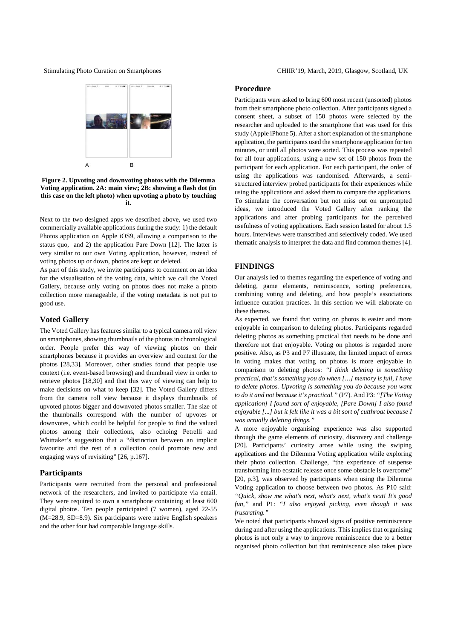

#### **Figure 2. Upvoting and downvoting photos with the Dilemma Voting application. 2A: main view; 2B: showing a flash dot (in this case on the left photo) when upvoting a photo by touching it.**

Next to the two designed apps we described above, we used two commercially available applications during the study: 1) the default Photos application on Apple iOS9, allowing a comparison to the status quo, and 2) the application Pare Down [12]. The latter is very similar to our own Voting application, however, instead of voting photos up or down, photos are kept or deleted.

As part of this study, we invite participants to comment on an idea for the visualisation of the voting data, which we call the Voted Gallery, because only voting on photos does not make a photo collection more manageable, if the voting metadata is not put to good use.

#### **Voted Gallery**

The Voted Gallery has features similar to a typical camera roll view on smartphones, showing thumbnails of the photos in chronological order. People prefer this way of viewing photos on their smartphones because it provides an overview and context for the photos [28,33]. Moreover, other studies found that people use context (i.e. event-based browsing) and thumbnail view in order to retrieve photos [18,30] and that this way of viewing can help to make decisions on what to keep [32]. The Voted Gallery differs from the camera roll view because it displays thumbnails of upvoted photos bigger and downvoted photos smaller. The size of the thumbnails correspond with the number of upvotes or downvotes, which could be helpful for people to find the valued photos among their collections, also echoing Petrelli and Whittaker's suggestion that a "distinction between an implicit favourite and the rest of a collection could promote new and engaging ways of revisiting" [26, p.167].

#### **Participants**

Participants were recruited from the personal and professional network of the researchers, and invited to participate via email. They were required to own a smartphone containing at least 600 digital photos. Ten people participated (7 women), aged 22-55 (M=28.9, SD=8.9). Six participants were native English speakers and the other four had comparable language skills.

#### **Procedure**

Participants were asked to bring 600 most recent (unsorted) photos from their smartphone photo collection. After participants signed a consent sheet, a subset of 150 photos were selected by the researcher and uploaded to the smartphone that was used for this study (Apple iPhone 5). After a short explanation of the smartphone application, the participants used the smartphone application for ten minutes, or until all photos were sorted. This process was repeated for all four applications, using a new set of 150 photos from the participant for each application. For each participant, the order of using the applications was randomised. Afterwards, a semistructured interview probed participants for their experiences while using the applications and asked them to compare the applications. To stimulate the conversation but not miss out on unprompted ideas, we introduced the Voted Gallery after ranking the applications and after probing participants for the perceived usefulness of voting applications. Each session lasted for about 1.5 hours. Interviews were transcribed and selectively coded. We used thematic analysis to interpret the data and find common themes [4].

#### **FINDINGS**

Our analysis led to themes regarding the experience of voting and deleting, game elements, reminiscence, sorting preferences, combining voting and deleting, and how people's associations influence curation practices. In this section we will elaborate on these themes.

As expected, we found that voting on photos is easier and more enjoyable in comparison to deleting photos. Participants regarded deleting photos as something practical that needs to be done and therefore not that enjoyable. Voting on photos is regarded more positive. Also, as P3 and P7 illustrate, the limited impact of errors in voting makes that voting on photos is more enjoyable in comparison to deleting photos: *"I think deleting is something practical, that's something you do when […] memory is full, I have to delete photos. Upvoting is something you do because you want to do it and not because it's practical."* (P7). And P3: *"[The Voting application] I found sort of enjoyable, [Pare Down] I also found enjoyable [...] but it felt like it was a bit sort of cutthroat because I was actually deleting things."*

A more enjoyable organising experience was also supported through the game elements of curiosity, discovery and challenge [20]. Participants' curiosity arose while using the swiping applications and the Dilemma Voting application while exploring their photo collection. Challenge, "the experience of suspense transforming into ecstatic release once some obstacle is overcome" [20, p.3], was observed by participants when using the Dilemma Voting application to choose between two photos. As P10 said: *"Quick, show me what's next, what's next, what's next! It's good fun,"* and P1: *"I also enjoyed picking, even though it was frustrating."*

We noted that participants showed signs of positive reminiscence during and after using the applications. This implies that organising photos is not only a way to improve reminiscence due to a better organised photo collection but that reminiscence also takes place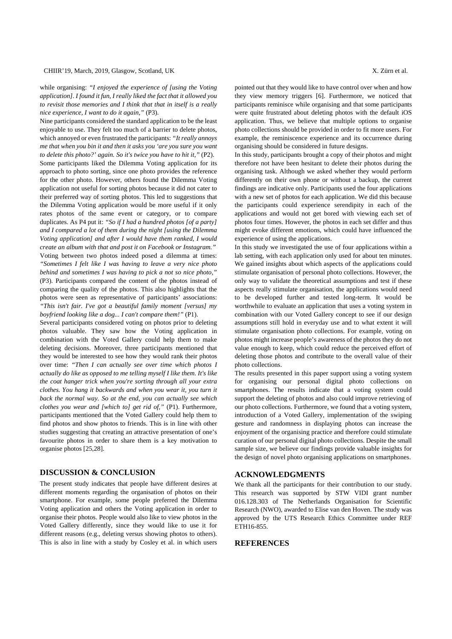#### CHIIR'19, March, 2019, Glasgow, Scotland, UK X. Zürn et al.

while organising: *"I enjoyed the experience of [using the Voting application]. I found it fun, I really liked the fact that it allowed you to revisit those memories and I think that that in itself is a really nice experience, I want to do it again,"* (P3).

Nine participants considered the standard application to be the least enjoyable to use. They felt too much of a barrier to delete photos, which annoyed or even frustrated the participants: *"It really annoys me that when you bin it and then it asks you 'are you sure you want to delete this photo?' again. So it's twice you have to hit it,"* (P2). Some participants liked the Dilemma Voting application for its approach to photo sorting, since one photo provides the reference for the other photo. However, others found the Dilemma Voting application not useful for sorting photos because it did not cater to their preferred way of sorting photos. This led to suggestions that the Dilemma Voting application would be more useful if it only rates photos of the same event or category, or to compare duplicates. As P4 put it: *"So if I had a hundred photos [of a party] and I compared a lot of them during the night [using the Dilemma Voting application] and after I would have them ranked, I would create an album with that and post it on Facebook or Instagram."*

Voting between two photos indeed posed a dilemma at times: *"Sometimes I felt like I was having to leave a very nice photo behind and sometimes I was having to pick a not so nice photo,"* (P3). Participants compared the content of the photos instead of comparing the quality of the photos. This also highlights that the photos were seen as representative of participants' associations: *"This isn't fair. I've got a beautiful family moment [versus] my boyfriend looking like a dog... I can't compare them!"* (P1).

Several participants considered voting on photos prior to deleting photos valuable. They saw how the Voting application in combination with the Voted Gallery could help them to make deleting decisions. Moreover, three participants mentioned that they would be interested to see how they would rank their photos over time: *"Then I can actually see over time which photos I actually do like as opposed to me telling myself I like them. It's like the coat hanger trick when you're sorting through all your extra clothes. You hang it backwards and when you wear it, you turn it back the normal way. So at the end, you can actually see which clothes you wear and [which to] get rid of,"* (P1). Furthermore, participants mentioned that the Voted Gallery could help them to find photos and show photos to friends. This is in line with other studies suggesting that creating an attractive presentation of one's favourite photos in order to share them is a key motivation to organise photos [25,28].

#### **DISCUSSION & CONCLUSION**

The present study indicates that people have different desires at different moments regarding the organisation of photos on their smartphone. For example, some people preferred the Dilemma Voting application and others the Voting application in order to organise their photos. People would also like to view photos in the Voted Gallery differently, since they would like to use it for different reasons (e.g., deleting versus showing photos to others). This is also in line with a study by Cosley et al. in which users pointed out that they would like to have control over when and how they view memory triggers [6]. Furthermore, we noticed that participants reminisce while organising and that some participants were quite frustrated about deleting photos with the default iOS application. Thus, we believe that multiple options to organise photo collections should be provided in order to fit more users. For example, the reminiscence experience and its occurrence during organising should be considered in future designs.

In this study, participants brought a copy of their photos and might therefore not have been hesitant to delete their photos during the organising task. Although we asked whether they would perform differently on their own phone or without a backup, the current findings are indicative only. Participants used the four applications with a new set of photos for each application. We did this because the participants could experience serendipity in each of the applications and would not get bored with viewing each set of photos four times. However, the photos in each set differ and thus might evoke different emotions, which could have influenced the experience of using the applications.

In this study we investigated the use of four applications within a lab setting, with each application only used for about ten minutes. We gained insights about which aspects of the applications could stimulate organisation of personal photo collections. However, the only way to validate the theoretical assumptions and test if these aspects really stimulate organisation, the applications would need to be developed further and tested long-term. It would be worthwhile to evaluate an application that uses a voting system in combination with our Voted Gallery concept to see if our design assumptions still hold in everyday use and to what extent it will stimulate organisation photo collections. For example, voting on photos might increase people's awareness of the photos they do not value enough to keep, which could reduce the perceived effort of deleting those photos and contribute to the overall value of their photo collections.

The results presented in this paper support using a voting system for organising our personal digital photo collections on smartphones. The results indicate that a voting system could support the deleting of photos and also could improve retrieving of our photo collections. Furthermore, we found that a voting system, introduction of a Voted Gallery, implementation of the swiping gesture and randomness in displaying photos can increase the enjoyment of the organising practice and therefore could stimulate curation of our personal digital photo collections. Despite the small sample size, we believe our findings provide valuable insights for the design of novel photo organising applications on smartphones.

#### **ACKNOWLEDGMENTS**

We thank all the participants for their contribution to our study. This research was supported by STW VIDI grant number 016.128.303 of The Netherlands Organisation for Scientific Research (NWO), awarded to Elise van den Hoven. The study was approved by the UTS Research Ethics Committee under REF ETH16-855.

### **REFERENCES**